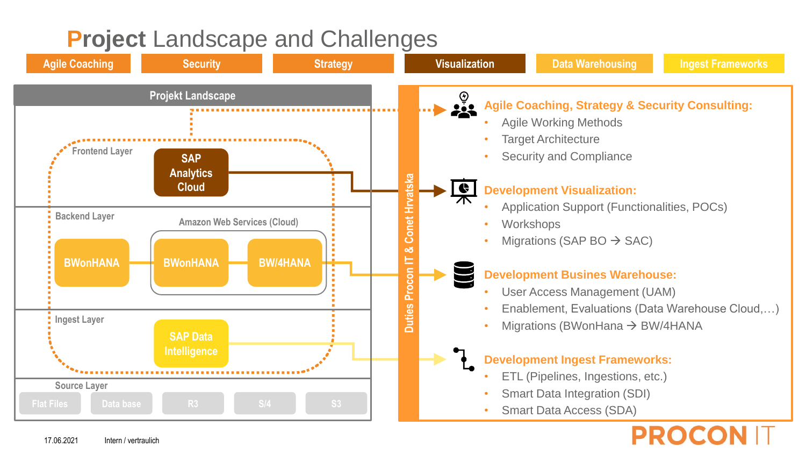# **Project Landscape and Challenges**

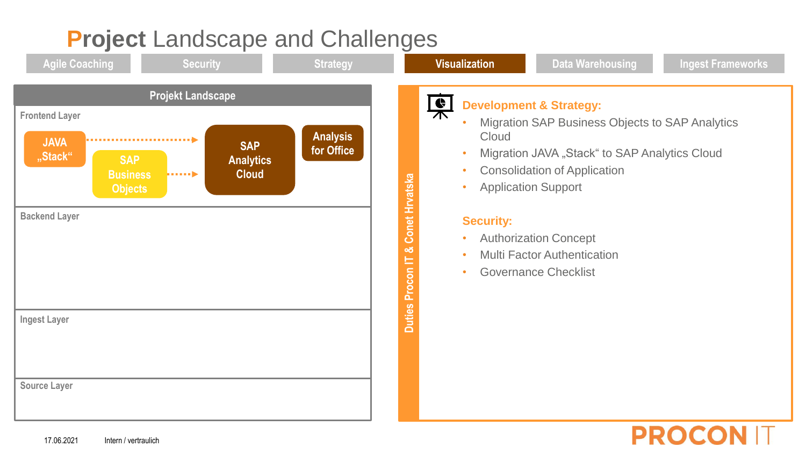## **Project Landscape and Challenges Agile Coaching Security Strategy Visualization Data Warehousing Ingest Frameworks Projekt Landscape** 白木 **Development & Strategy: Frontend Layer** • Migration SAP Business Objects to SAP Analytics **Analysis Cloud for office SAP of the Contract of Contract of Contract of Contract of Contract of Contract of Contract of Contract of Contract of Contract of Contract of Contract of Contract of Contract of Contract of Contract of C SAP**  Migration JAVA "Stack" to SAP Analytics Cloud **"Stack"SAP Analytics**  • Consolidation of Application **Business Cloud Harry** Conet Hrvatska **Duties Procon IT & Conet Hrvatska** • Application Support **Objects Backend Layer Security:** • Authorization Concept න් **Multi Factor Authentication** E **Duties Procon** • Governance Checklist **Ingest Layer Source Layer**

**PROCON IT** 

### 17.06.2021 Intern / vertraulich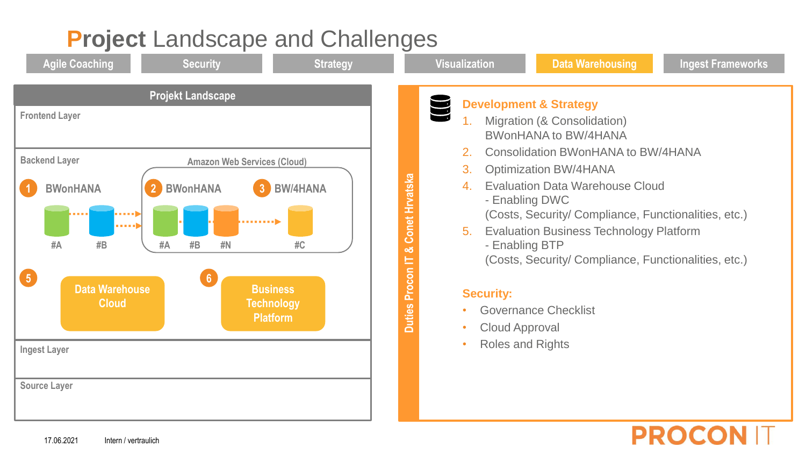

### 17.06.2021 Intern / vertraulich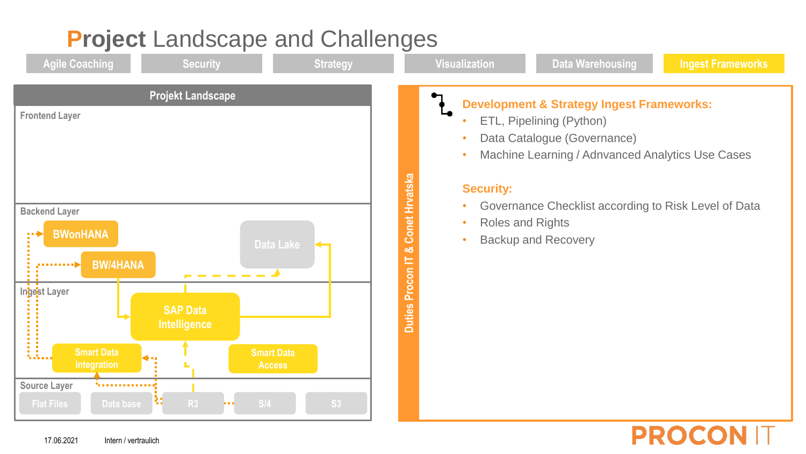## **Project Landscape and Challenges Agile Coaching Security Strategy Visualization Data Warehousing Ingest Frameworks Projekt Landscape Development & Strategy Ingest Frameworks: Frontend Layer** • ETL, Pipelining (Python) Data Catalogue (Governance) Machine Learning / Adnvanced Analytics Use Cases **Example 20 All Layer**<br> **BWonHANA**<br> **BWonHANA**<br>
Data Lake<br>
Data Lake<br> **BACKUP**<br>
Data Lake<br> **BACKUP**<br> **BACKUP**<br> **BACKUP**<br> **BACKUP**<br> **BACKUP**<br> **BACKUP**<br> **BACKUP**<br> **BACKUP**<br> **BACKUP**<br> **BACKUP**<br> **BACKUP**<br> **BACKUP**<br> **BACKUP**<br> **Duties Procon IT & Conet Hrvatska Security:** • Governance Checklist according to Risk Level of Data **Backend Layer** • Roles and Rights •• ♦ **Data Lake** 느 **BW/4HANA**  $j$  . . . . . . . . .  $\triangleright$ Procon -------**Ingest Layer** Duties **SAP Data Intelligence Smart Data Smart Data**  in Alban **Access Source Layer Non-Researcher Flat Files Data base S/4 S3**

**PROCO**